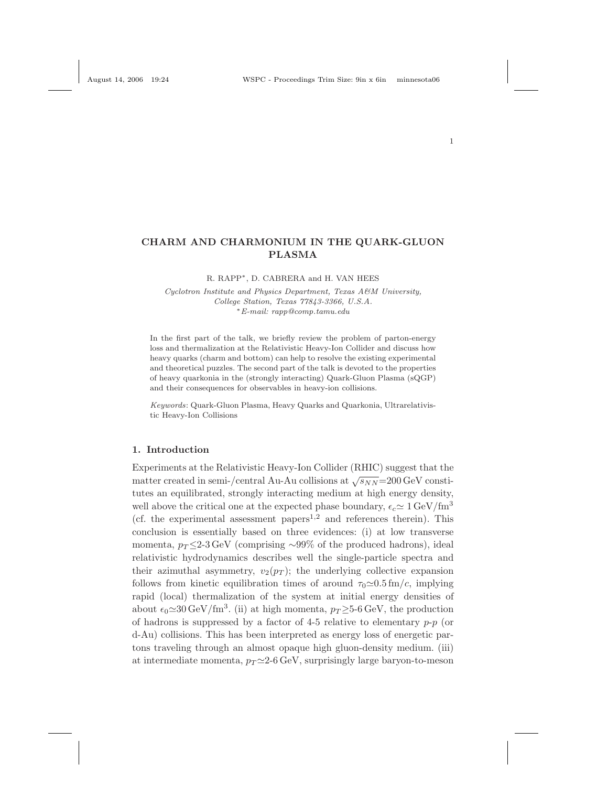# CHARM AND CHARMONIUM IN THE QUARK-GLUON PLASMA

### R. RAPP∗, D. CABRERA and H. VAN HEES

Cyclotron Institute and Physics Department, Texas A&M University, College Station, Texas 77843-3366, U.S.A. <sup>∗</sup>E-mail: rapp@comp.tamu.edu

In the first part of the talk, we briefly review the problem of parton-energy loss and thermalization at the Relativistic Heavy-Ion Collider and discuss how heavy quarks (charm and bottom) can help to resolve the existing experimental and theoretical puzzles. The second part of the talk is devoted to the properties of heavy quarkonia in the (strongly interacting) Quark-Gluon Plasma (sQGP) and their consequences for observables in heavy-ion collisions.

Keywords: Quark-Gluon Plasma, Heavy Quarks and Quarkonia, Ultrarelativistic Heavy-Ion Collisions

#### 1. Introduction

Experiments at the Relativistic Heavy-Ion Collider (RHIC) suggest that the matter created in semi-/central Au-Au collisions at  $\sqrt{s_{NN}}$ =200 GeV constitutes an equilibrated, strongly interacting medium at high energy density, well above the critical one at the expected phase boundary,  $\epsilon_c \approx 1 \,\text{GeV}/\text{fm}^3$ (cf. the experimental assessment papers<sup>1,2</sup> and references therein). This conclusion is essentially based on three evidences: (i) at low transverse momenta,  $p_T \leq 2$ -3 GeV (comprising ~99% of the produced hadrons), ideal relativistic hydrodynamics describes well the single-particle spectra and their azimuthal asymmetry,  $v_2(p_T)$ ; the underlying collective expansion follows from kinetic equilibration times of around  $\tau_0 \simeq 0.5$  fm/c, implying rapid (local) thermalization of the system at initial energy densities of about  $\epsilon_0 \simeq 30 \,\text{GeV}/\text{fm}^3$ . (ii) at high momenta,  $p_T \geq 5$ -6 GeV, the production of hadrons is suppressed by a factor of 4-5 relative to elementary  $p-p$  (or d-Au) collisions. This has been interpreted as energy loss of energetic partons traveling through an almost opaque high gluon-density medium. (iii) at intermediate momenta,  $p_T \simeq 2-6$  GeV, surprisingly large baryon-to-meson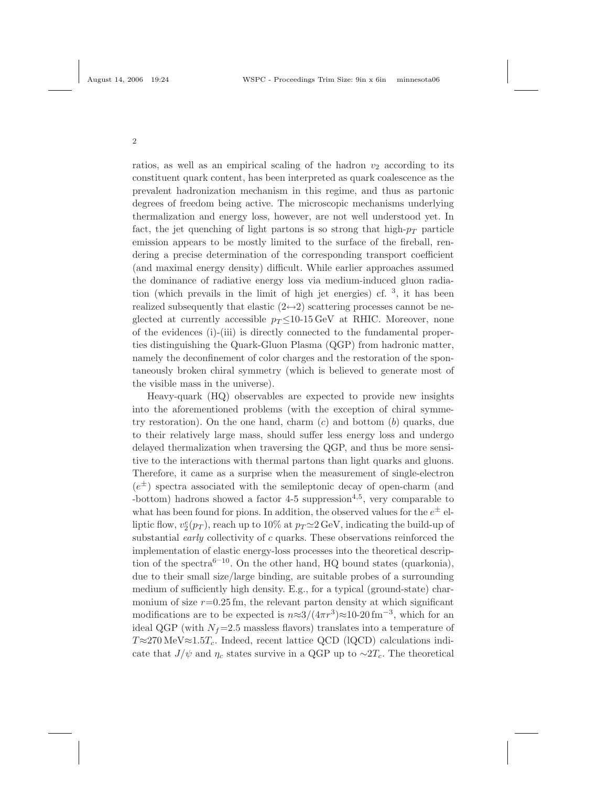ratios, as well as an empirical scaling of the hadron  $v_2$  according to its constituent quark content, has been interpreted as quark coalescence as the prevalent hadronization mechanism in this regime, and thus as partonic degrees of freedom being active. The microscopic mechanisms underlying thermalization and energy loss, however, are not well understood yet. In fact, the jet quenching of light partons is so strong that high- $p_T$  particle emission appears to be mostly limited to the surface of the fireball, rendering a precise determination of the corresponding transport coefficient (and maximal energy density) difficult. While earlier approaches assumed the dominance of radiative energy loss via medium-induced gluon radiation (which prevails in the limit of high jet energies) cf. <sup>3</sup> , it has been realized subsequently that elastic  $(2 \leftrightarrow 2)$  scattering processes cannot be neglected at currently accessible  $p_T \leq 10^{-15} \text{ GeV}$  at RHIC. Moreover, none of the evidences (i)-(iii) is directly connected to the fundamental properties distinguishing the Quark-Gluon Plasma (QGP) from hadronic matter, namely the deconfinement of color charges and the restoration of the spontaneously broken chiral symmetry (which is believed to generate most of the visible mass in the universe).

Heavy-quark (HQ) observables are expected to provide new insights into the aforementioned problems (with the exception of chiral symmetry restoration). On the one hand, charm  $(c)$  and bottom  $(b)$  quarks, due to their relatively large mass, should suffer less energy loss and undergo delayed thermalization when traversing the QGP, and thus be more sensitive to the interactions with thermal partons than light quarks and gluons. Therefore, it came as a surprise when the measurement of single-electron  $(e^{\pm})$  spectra associated with the semileptonic decay of open-charm (and -bottom) hadrons showed a factor  $4-5$  suppression<sup> $4,5$ </sup>, very comparable to what has been found for pions. In addition, the observed values for the  $e^{\pm}$  elliptic flow,  $v_2^e(p_T)$ , reach up to 10% at  $p_T \simeq 2 \,\mathrm{GeV}$ , indicating the build-up of substantial *early* collectivity of  $c$  quarks. These observations reinforced the implementation of elastic energy-loss processes into the theoretical description of the spectra<sup>6–10</sup>. On the other hand, HQ bound states (quarkonia), due to their small size/large binding, are suitable probes of a surrounding medium of sufficiently high density. E.g., for a typical (ground-state) charmonium of size  $r=0.25$  fm, the relevant parton density at which significant modifications are to be expected is  $n \approx 3/(4\pi r^3) \approx 10{\text -}20 \text{ fm}^{-3}$ , which for an ideal QGP (with  $N_f$ =2.5 massless flavors) translates into a temperature of  $T \approx 270 \text{ MeV} \approx 1.5T_c$ . Indeed, recent lattice QCD (lQCD) calculations indicate that  $J/\psi$  and  $\eta_c$  states survive in a QGP up to ~2 $T_c$ . The theoretical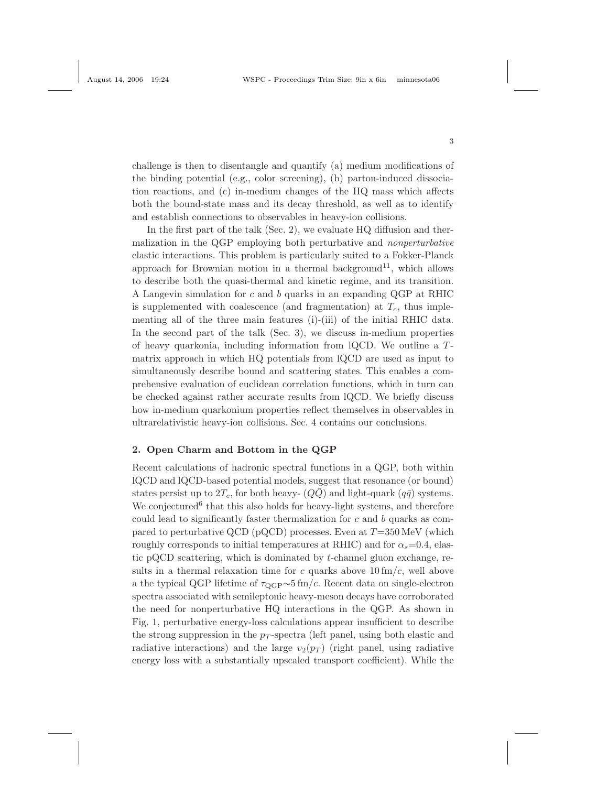challenge is then to disentangle and quantify (a) medium modifications of the binding potential (e.g., color screening), (b) parton-induced dissociation reactions, and (c) in-medium changes of the HQ mass which affects both the bound-state mass and its decay threshold, as well as to identify and establish connections to observables in heavy-ion collisions.

In the first part of the talk (Sec. 2), we evaluate HQ diffusion and thermalization in the QGP employing both perturbative and nonperturbative elastic interactions. This problem is particularly suited to a Fokker-Planck approach for Brownian motion in a thermal background<sup>11</sup>, which allows to describe both the quasi-thermal and kinetic regime, and its transition. A Langevin simulation for c and b quarks in an expanding QGP at RHIC is supplemented with coalescence (and fragmentation) at  $T_c$ , thus implementing all of the three main features (i)-(iii) of the initial RHIC data. In the second part of the talk (Sec. 3), we discuss in-medium properties of heavy quarkonia, including information from lQCD. We outline a Tmatrix approach in which HQ potentials from lQCD are used as input to simultaneously describe bound and scattering states. This enables a comprehensive evaluation of euclidean correlation functions, which in turn can be checked against rather accurate results from lQCD. We briefly discuss how in-medium quarkonium properties reflect themselves in observables in ultrarelativistic heavy-ion collisions. Sec. 4 contains our conclusions.

#### 2. Open Charm and Bottom in the QGP

Recent calculations of hadronic spectral functions in a QGP, both within lQCD and lQCD-based potential models, suggest that resonance (or bound) states persist up to  $2T_c$ , for both heavy-  $(Q\bar{Q})$  and light-quark  $(q\bar{q})$  systems. We conjectured<sup>6</sup> that this also holds for heavy-light systems, and therefore could lead to significantly faster thermalization for  $c$  and  $b$  quarks as compared to perturbative QCD (pQCD) processes. Even at  $T=350 \,\mathrm{MeV}$  (which roughly corresponds to initial temperatures at RHIC) and for  $\alpha_s = 0.4$ , elastic pQCD scattering, which is dominated by  $t$ -channel gluon exchange, results in a thermal relaxation time for c quarks above  $10 \text{ fm/c}$ , well above a the typical QGP lifetime of  $\tau_{\text{QGP}} \sim 5 \text{ fm}/c$ . Recent data on single-electron spectra associated with semileptonic heavy-meson decays have corroborated the need for nonperturbative HQ interactions in the QGP. As shown in Fig. 1, perturbative energy-loss calculations appear insufficient to describe the strong suppression in the  $p_T$ -spectra (left panel, using both elastic and radiative interactions) and the large  $v_2(p_T)$  (right panel, using radiative energy loss with a substantially upscaled transport coefficient). While the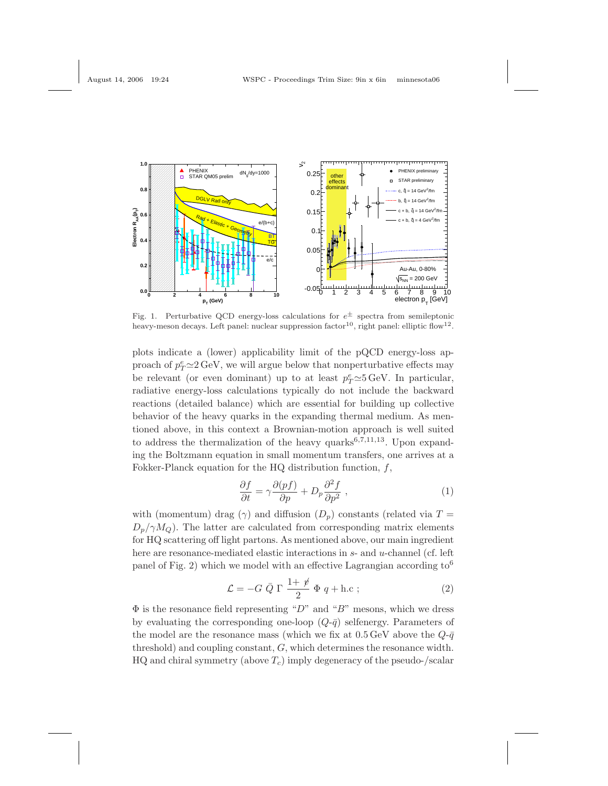

Fig. 1. Perturbative QCD energy-loss calculations for  $e^{\pm}$  spectra from semileptonic heavy-meson decays. Left panel: nuclear suppression factor<sup>10</sup>, right panel: elliptic flow<sup>12</sup>.

plots indicate a (lower) applicability limit of the pQCD energy-loss approach of  $p_T^e \simeq 2 \,\mathrm{GeV}$ , we will argue below that nonperturbative effects may be relevant (or even dominant) up to at least  $p_T^e \simeq 5 \,\text{GeV}$ . In particular, radiative energy-loss calculations typically do not include the backward reactions (detailed balance) which are essential for building up collective behavior of the heavy quarks in the expanding thermal medium. As mentioned above, in this context a Brownian-motion approach is well suited to address the thermalization of the heavy quarks $6,7,11,13$ . Upon expanding the Boltzmann equation in small momentum transfers, one arrives at a Fokker-Planck equation for the HQ distribution function,  $f$ ,

$$
\frac{\partial f}{\partial t} = \gamma \frac{\partial (pf)}{\partial p} + D_p \frac{\partial^2 f}{\partial p^2} \,, \tag{1}
$$

with (momentum) drag ( $\gamma$ ) and diffusion ( $D_p$ ) constants (related via T =  $D_p/\gamma M_Q$ ). The latter are calculated from corresponding matrix elements for HQ scattering off light partons. As mentioned above, our main ingredient here are resonance-mediated elastic interactions in s- and u-channel (cf. left panel of Fig. 2) which we model with an effective Lagrangian according to<sup>6</sup>

$$
\mathcal{L} = -G \bar{Q} \Gamma \frac{1+\rlap{\hspace{0.02cm}/}{2}}{2} \Phi q + \text{h.c};
$$
\n<sup>(2)</sup>

 $\Phi$  is the resonance field representing "D" and "B" mesons, which we dress by evaluating the corresponding one-loop  $(Q-\bar{q})$  selfenergy. Parameters of the model are the resonance mass (which we fix at  $0.5 \,\text{GeV}$  above the  $Q-\bar{q}$ threshold) and coupling constant, G, which determines the resonance width. HQ and chiral symmetry (above  $T_c$ ) imply degeneracy of the pseudo-/scalar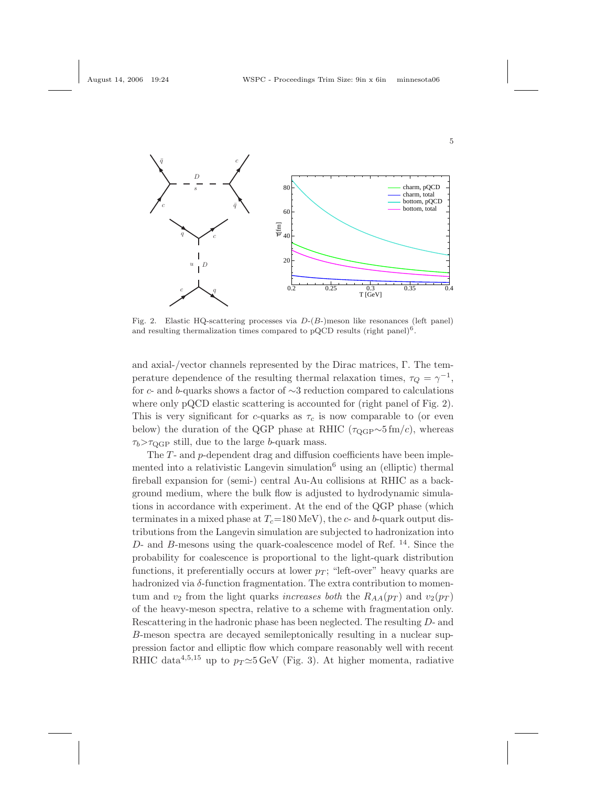

Fig. 2. Elastic HQ-scattering processes via  $D-(B-)$ meson like resonances (left panel) and resulting thermalization times compared to pQCD results (right panel)<sup>6</sup>.

and axial-/vector channels represented by the Dirac matrices, Γ. The temperature dependence of the resulting thermal relaxation times,  $\tau_Q = \gamma^{-1}$ , for c- and b-quarks shows a factor of ∼3 reduction compared to calculations where only pQCD elastic scattering is accounted for (right panel of Fig. 2). This is very significant for c-quarks as  $\tau_c$  is now comparable to (or even below) the duration of the QGP phase at RHIC ( $\tau_{\text{QGP}} \sim 5 \text{ fm}/c$ ), whereas  $\tau_b$ > $\tau_{\text{OGP}}$  still, due to the large b-quark mass.

The T- and p-dependent drag and diffusion coefficients have been implemented into a relativistic Langevin simulation<sup>6</sup> using an (elliptic) thermal fireball expansion for (semi-) central Au-Au collisions at RHIC as a background medium, where the bulk flow is adjusted to hydrodynamic simulations in accordance with experiment. At the end of the QGP phase (which terminates in a mixed phase at  $T_c=180 \text{ MeV}$ , the c- and b-quark output distributions from the Langevin simulation are subjected to hadronization into D- and B-mesons using the quark-coalescence model of Ref.  $^{14}$ . Since the probability for coalescence is proportional to the light-quark distribution functions, it preferentially occurs at lower  $p_T$ ; "left-over" heavy quarks are hadronized via  $\delta$ -function fragmentation. The extra contribution to momentum and  $v_2$  from the light quarks increases both the  $R_{AA}(p_T)$  and  $v_2(p_T)$ of the heavy-meson spectra, relative to a scheme with fragmentation only. Rescattering in the hadronic phase has been neglected. The resulting D- and B-meson spectra are decayed semileptonically resulting in a nuclear suppression factor and elliptic flow which compare reasonably well with recent RHIC data<sup>4,5,15</sup> up to  $p_T \simeq 5$  GeV (Fig. 3). At higher momenta, radiative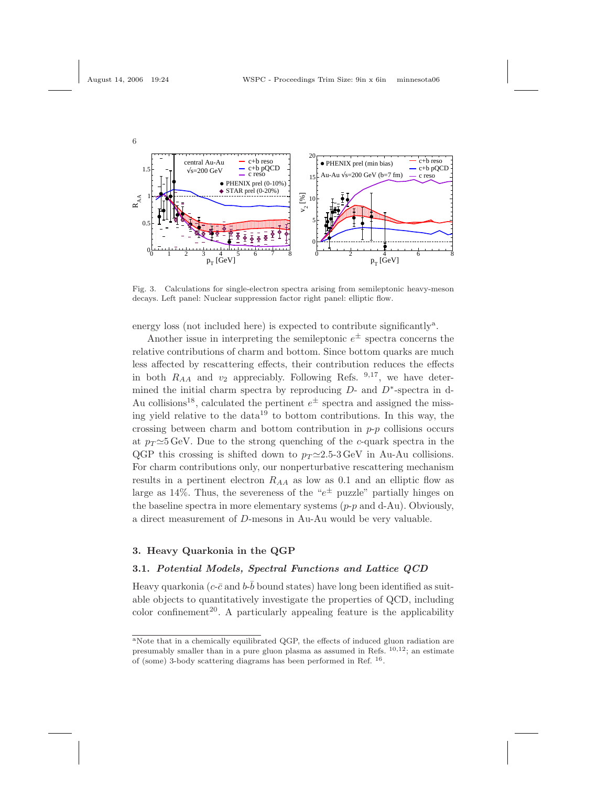

Fig. 3. Calculations for single-electron spectra arising from semileptonic heavy-meson decays. Left panel: Nuclear suppression factor right panel: elliptic flow.

energy loss (not included here) is expected to contribute significantly<sup>a</sup>.

Another issue in interpreting the semileptonic  $e^{\pm}$  spectra concerns the relative contributions of charm and bottom. Since bottom quarks are much less affected by rescattering effects, their contribution reduces the effects in both  $R_{AA}$  and  $v_2$  appreciably. Following Refs. <sup>9,17</sup>, we have determined the initial charm spectra by reproducing  $D$ - and  $D^*$ -spectra in d-Au collisions<sup>18</sup>, calculated the pertinent  $e^{\pm}$  spectra and assigned the missing yield relative to the data<sup>19</sup> to bottom contributions. In this way, the crossing between charm and bottom contribution in  $p-p$  collisions occurs at  $p_T \simeq 5$  GeV. Due to the strong quenching of the c-quark spectra in the QGP this crossing is shifted down to  $p_T \simeq 2.5$ -3 GeV in Au-Au collisions. For charm contributions only, our nonperturbative rescattering mechanism results in a pertinent electron  $R_{AA}$  as low as 0.1 and an elliptic flow as large as 14%. Thus, the severeness of the " $e^{\pm}$  puzzle" partially hinges on the baseline spectra in more elementary systems  $(p-p \text{ and } d-Au)$ . Obviously, a direct measurement of D-mesons in Au-Au would be very valuable.

## 3. Heavy Quarkonia in the QGP

#### 3.1. Potential Models, Spectral Functions and Lattice QCD

Heavy quarkonia ( $c$ - $\bar{c}$  and  $b$ - $\bar{b}$  bound states) have long been identified as suitable objects to quantitatively investigate the properties of QCD, including color confinement<sup>20</sup>. A particularly appealing feature is the applicability

aNote that in a chemically equilibrated QGP, the effects of induced gluon radiation are presumably smaller than in a pure gluon plasma as assumed in Refs.  $10,12$ ; an estimate of (some) 3-body scattering diagrams has been performed in Ref. <sup>16</sup>.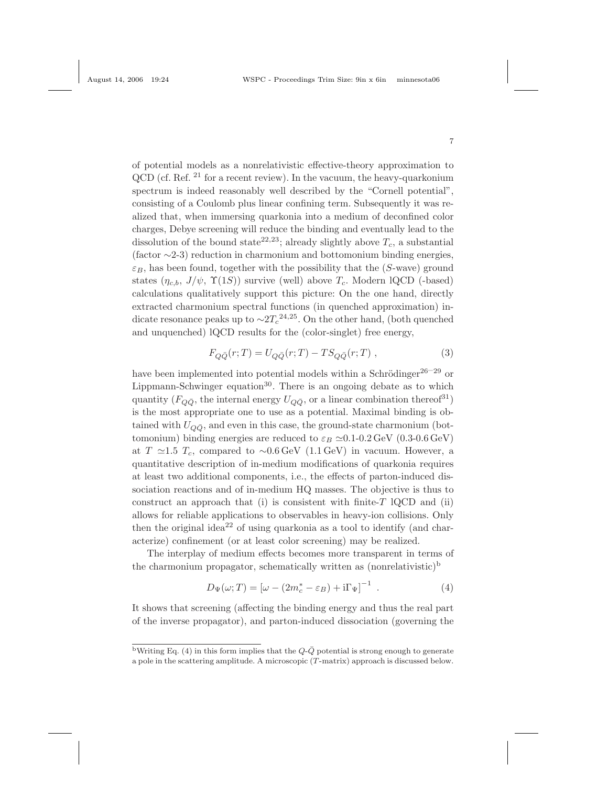of potential models as a nonrelativistic effective-theory approximation to QCD (cf. Ref. <sup>21</sup> for a recent review). In the vacuum, the heavy-quarkonium spectrum is indeed reasonably well described by the "Cornell potential", consisting of a Coulomb plus linear confining term. Subsequently it was realized that, when immersing quarkonia into a medium of deconfined color charges, Debye screening will reduce the binding and eventually lead to the dissolution of the bound state<sup>22,23</sup>; already slightly above  $T_c$ , a substantial (factor ∼2-3) reduction in charmonium and bottomonium binding energies,  $\varepsilon_B$ , has been found, together with the possibility that the (S-wave) ground states  $(\eta_{c,b}, J/\psi, \Upsilon(1S))$  survive (well) above  $T_c$ . Modern lQCD (-based) calculations qualitatively support this picture: On the one hand, directly extracted charmonium spectral functions (in quenched approximation) indicate resonance peaks up to  $\sim$ 2 $T_c^{24,25}$ . On the other hand, (both quenched and unquenched) lQCD results for the (color-singlet) free energy,

$$
F_{Q\bar{Q}}(r;T) = U_{Q\bar{Q}}(r;T) - TS_{Q\bar{Q}}(r;T) ,
$$
\n(3)

have been implemented into potential models within a Schrödinger<sup>26–29</sup> or Lippmann-Schwinger equation<sup>30</sup>. There is an ongoing debate as to which quantity ( $F_{Q\bar{Q}}$ , the internal energy  $U_{Q\bar{Q}}$ , or a linear combination thereof<sup>31</sup>) is the most appropriate one to use as a potential. Maximal binding is obtained with  $U_{Q\bar{Q}}$ , and even in this case, the ground-state charmonium (bottomonium) binding energies are reduced to  $\varepsilon_B \simeq 0.1$ -0.2 GeV (0.3-0.6 GeV) at T ≃1.5  $T_c$ , compared to ~0.6 GeV (1.1 GeV) in vacuum. However, a quantitative description of in-medium modifications of quarkonia requires at least two additional components, i.e., the effects of parton-induced dissociation reactions and of in-medium HQ masses. The objective is thus to construct an approach that (i) is consistent with finite- $T$  lQCD and (ii) allows for reliable applications to observables in heavy-ion collisions. Only then the original idea<sup>22</sup> of using quarkonia as a tool to identify (and characterize) confinement (or at least color screening) may be realized.

The interplay of medium effects becomes more transparent in terms of the charmonium propagator, schematically written as  $(nonrelativistic)^b$ 

$$
D_{\Psi}(\omega;T) = \left[\omega - (2m_c^* - \varepsilon_B) + i\Gamma_{\Psi}\right]^{-1}.
$$
 (4)

It shows that screening (affecting the binding energy and thus the real part of the inverse propagator), and parton-induced dissociation (governing the

<sup>&</sup>lt;sup>b</sup>Writing Eq. (4) in this form implies that the  $Q-\overline{Q}$  potential is strong enough to generate a pole in the scattering amplitude. A microscopic (T-matrix) approach is discussed below.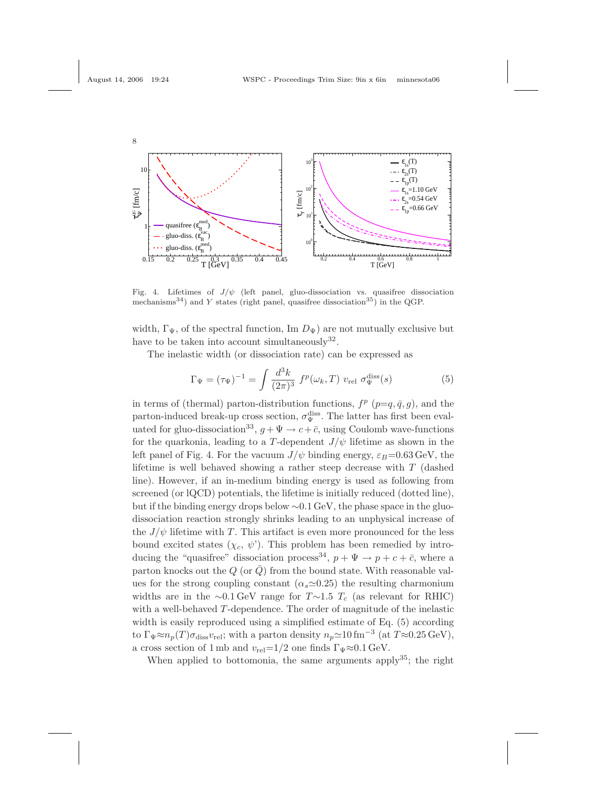

Fig. 4. Lifetimes of  $J/\psi$  (left panel, gluo-dissociation vs. quasifree dissociation mechanisms<sup>34</sup>) and Y states (right panel, quasifree dissociation<sup>35</sup>) in the QGP.

width,  $\Gamma_{\Psi}$ , of the spectral function, Im  $D_{\Psi}$ ) are not mutually exclusive but have to be taken into account simultaneously  $32$ .

The inelastic width (or dissociation rate) can be expressed as

$$
\Gamma_{\Psi} = (\tau_{\Psi})^{-1} = \int \frac{d^3k}{(2\pi)^3} f^p(\omega_k, T) v_{\text{rel}} \sigma_{\Psi}^{\text{diss}}(s)
$$
 (5)

in terms of (thermal) parton-distribution functions,  $f^p$  ( $p=q,\bar{q},g$ ), and the parton-induced break-up cross section,  $\sigma_{\Psi}^{\text{diss}}$ . The latter has first been evaluated for gluo-dissociation<sup>33</sup>,  $g + \Psi \to c + \bar{c}$ , using Coulomb wave-functions for the quarkonia, leading to a T-dependent  $J/\psi$  lifetime as shown in the left panel of Fig. 4. For the vacuum  $J/\psi$  binding energy,  $\varepsilon_B=0.63$  GeV, the lifetime is well behaved showing a rather steep decrease with  $T$  (dashed line). However, if an in-medium binding energy is used as following from screened (or lQCD) potentials, the lifetime is initially reduced (dotted line), but if the binding energy drops below ∼0.1 GeV, the phase space in the gluodissociation reaction strongly shrinks leading to an unphysical increase of the  $J/\psi$  lifetime with T. This artifact is even more pronounced for the less bound excited states  $(\chi_c, \psi')$ . This problem has been remedied by introducing the "quasifree" dissociation process<sup>34</sup>,  $p + \Psi \rightarrow p + c + \bar{c}$ , where a parton knocks out the  $Q$  (or  $\overline{Q}$ ) from the bound state. With reasonable values for the strong coupling constant  $(\alpha_s \approx 0.25)$  the resulting charmonium widths are in the ∼0.1 GeV range for  $T \sim 1.5$  T<sub>c</sub> (as relevant for RHIC) with a well-behaved T-dependence. The order of magnitude of the inelastic width is easily reproduced using a simplified estimate of Eq. (5) according to  $\Gamma_{\Psi} \approx n_p(T) \sigma_{\text{diss}} v_{\text{rel}}$ ; with a parton density  $n_p \approx 10 \text{ fm}^{-3}$  (at  $T \approx 0.25 \text{ GeV}$ ), a cross section of 1 mb and  $v_{\text{rel}}=1/2$  one finds  $\Gamma_{\Psi} \approx 0.1 \text{ GeV}$ .

When applied to bottomonia, the same arguments apply<sup>35</sup>; the right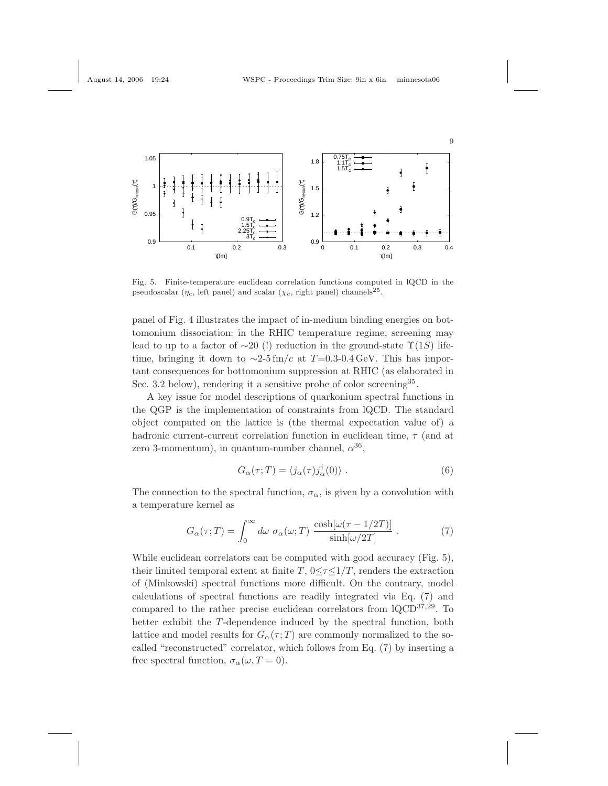

Fig. 5. Finite-temperature euclidean correlation functions computed in lQCD in the pseudoscalar ( $\eta_c$ , left panel) and scalar ( $\chi_c$ , right panel) channels<sup>25</sup>.

panel of Fig. 4 illustrates the impact of in-medium binding energies on bottomonium dissociation: in the RHIC temperature regime, screening may lead to up to a factor of  $\sim$ 20 (!) reduction in the ground-state  $\Upsilon(1S)$  lifetime, bringing it down to  $\sim$ 2-5 fm/c at T=0.3-0.4 GeV. This has important consequences for bottomonium suppression at RHIC (as elaborated in Sec. 3.2 below), rendering it a sensitive probe of color screening<sup>35</sup>.

A key issue for model descriptions of quarkonium spectral functions in the QGP is the implementation of constraints from lQCD. The standard object computed on the lattice is (the thermal expectation value of) a hadronic current-current correlation function in euclidean time,  $\tau$  (and at zero 3-momentum), in quantum-number channel,  $\alpha^{36}$ ,

$$
G_{\alpha}(\tau;T) = \langle j_{\alpha}(\tau)j_{\alpha}^{\dagger}(0) \rangle . \tag{6}
$$

The connection to the spectral function,  $\sigma_{\alpha}$ , is given by a convolution with a temperature kernel as

$$
G_{\alpha}(\tau;T) = \int_0^{\infty} d\omega \ \sigma_{\alpha}(\omega;T) \ \frac{\cosh[\omega(\tau - 1/2T)]}{\sinh[\omega/2T]} \ . \tag{7}
$$

While euclidean correlators can be computed with good accuracy (Fig. 5), their limited temporal extent at finite  $T$ ,  $0 \leq \tau \leq 1/T$ , renders the extraction of (Minkowski) spectral functions more difficult. On the contrary, model calculations of spectral functions are readily integrated via Eq. (7) and compared to the rather precise euclidean correlators from lQCD<sup>37,29</sup>. To better exhibit the T-dependence induced by the spectral function, both lattice and model results for  $G_{\alpha}(\tau;T)$  are commonly normalized to the socalled "reconstructed" correlator, which follows from Eq. (7) by inserting a free spectral function,  $\sigma_{\alpha}(\omega, T = 0)$ .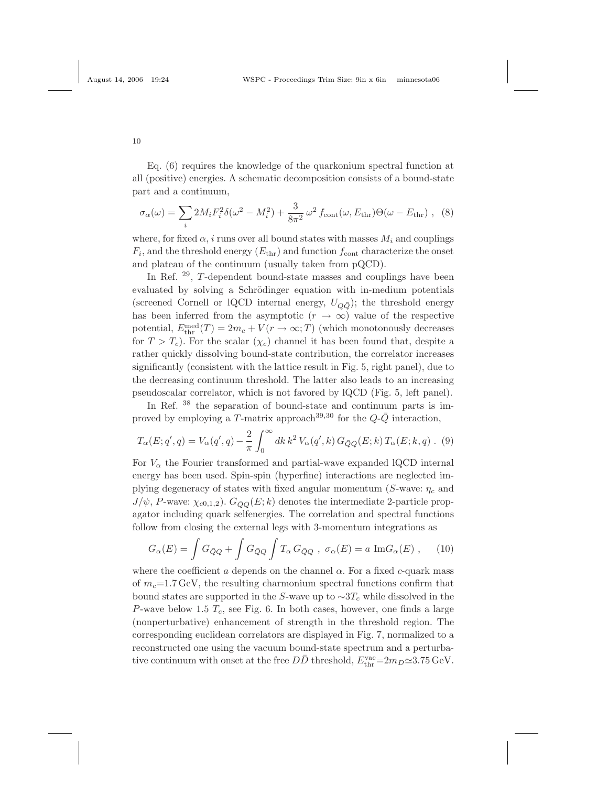Eq. (6) requires the knowledge of the quarkonium spectral function at all (positive) energies. A schematic decomposition consists of a bound-state part and a continuum,

$$
\sigma_{\alpha}(\omega) = \sum_{i} 2M_{i}F_{i}^{2}\delta(\omega^{2} - M_{i}^{2}) + \frac{3}{8\pi^{2}}\omega^{2} f_{\text{cont}}(\omega, E_{\text{thr}})\Theta(\omega - E_{\text{thr}}), \quad (8)
$$

where, for fixed  $\alpha$ , i runs over all bound states with masses  $M_i$  and couplings  $F_i$ , and the threshold energy  $(E_{\text{thr}})$  and function  $f_{\text{cont}}$  characterize the onset and plateau of the continuum (usually taken from pQCD).

In Ref. <sup>29</sup>, T-dependent bound-state masses and couplings have been evaluated by solving a Schrödinger equation with in-medium potentials (screened Cornell or lQCD internal energy,  $U_{Q\bar{Q}}$ ); the threshold energy has been inferred from the asymptotic  $(r \to \infty)$  value of the respective potential,  $E_{\text{thr}}^{\text{med}}(T) = 2m_c + V(r \to \infty; T)$  (which monotonously decreases for  $T > T_c$ ). For the scalar  $(\chi_c)$  channel it has been found that, despite a rather quickly dissolving bound-state contribution, the correlator increases significantly (consistent with the lattice result in Fig. 5, right panel), due to the decreasing continuum threshold. The latter also leads to an increasing pseudoscalar correlator, which is not favored by lQCD (Fig. 5, left panel).

In Ref.  $38$  the separation of bound-state and continuum parts is improved by employing a T-matrix approach<sup>39,30</sup> for the  $Q\text{-}\bar{Q}$  interaction,

$$
T_{\alpha}(E; q', q) = V_{\alpha}(q', q) - \frac{2}{\pi} \int_0^{\infty} dk \, k^2 \, V_{\alpha}(q', k) \, G_{\bar{Q}Q}(E; k) \, T_{\alpha}(E; k, q) \, . \tag{9}
$$

For  $V_{\alpha}$  the Fourier transformed and partial-wave expanded lQCD internal energy has been used. Spin-spin (hyperfine) interactions are neglected implying degeneracy of states with fixed angular momentum (S-wave:  $\eta_c$  and  $J/\psi$ , P-wave:  $\chi_{c0,1,2}$ ).  $G_{\bar{Q}Q}(E;k)$  denotes the intermediate 2-particle propagator including quark selfenergies. The correlation and spectral functions follow from closing the external legs with 3-momentum integrations as

$$
G_{\alpha}(E) = \int G_{\bar{Q}Q} + \int G_{\bar{Q}Q} \int T_{\alpha} G_{\bar{Q}Q} , \ \sigma_{\alpha}(E) = a \ \text{Im} G_{\alpha}(E) , \quad (10)
$$

where the coefficient a depends on the channel  $\alpha$ . For a fixed c-quark mass of  $m_c$ =1.7 GeV, the resulting charmonium spectral functions confirm that bound states are supported in the S-wave up to  $\sim 3T_c$  while dissolved in the P-wave below 1.5  $T_c$ , see Fig. 6. In both cases, however, one finds a large (nonperturbative) enhancement of strength in the threshold region. The corresponding euclidean correlators are displayed in Fig. 7, normalized to a reconstructed one using the vacuum bound-state spectrum and a perturbative continuum with onset at the free  $D\bar{D}$  threshold,  $E_{\rm thr}^{\rm vac} = 2m_D \simeq 3.75$  GeV.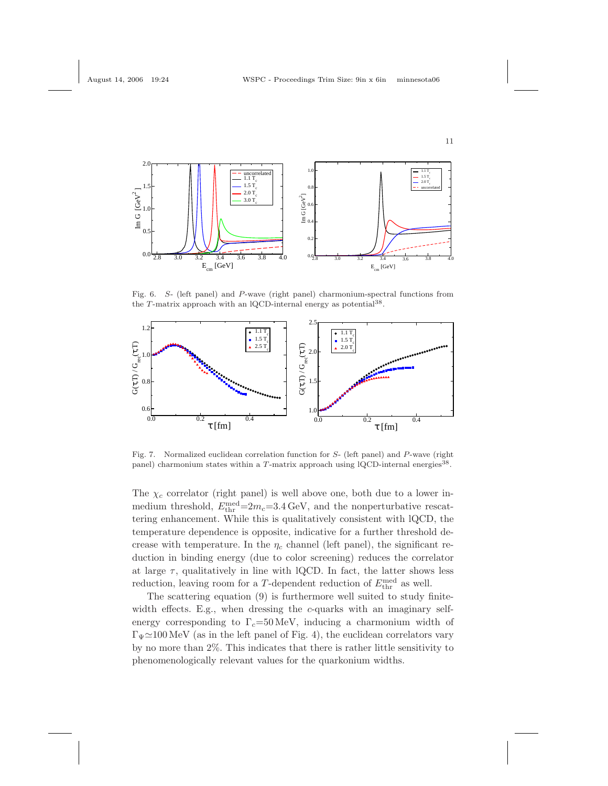



Fig. 6. S- (left panel) and P-wave (right panel) charmonium-spectral functions from the T-matrix approach with an lQCD-internal energy as potential<sup>38</sup>.



Fig. 7. Normalized euclidean correlation function for S- (left panel) and P-wave (right panel) charmonium states within a  $T$ -matrix approach using lQCD-internal energies<sup>38</sup>.

The  $\chi_c$  correlator (right panel) is well above one, both due to a lower inmedium threshold,  $E_{\text{thr}}^{\text{med}} = 2m_c = 3.4 \text{ GeV}$ , and the nonperturbative rescattering enhancement. While this is qualitatively consistent with lQCD, the temperature dependence is opposite, indicative for a further threshold decrease with temperature. In the  $\eta_c$  channel (left panel), the significant reduction in binding energy (due to color screening) reduces the correlator at large  $\tau$ , qualitatively in line with lQCD. In fact, the latter shows less reduction, leaving room for a T-dependent reduction of  $E_{\text{thr}}^{\text{med}}$  as well.

The scattering equation (9) is furthermore well suited to study finitewidth effects. E.g., when dressing the c-quarks with an imaginary selfenergy corresponding to  $\Gamma_c$ =50 MeV, inducing a charmonium width of  $\Gamma_{\Psi} \simeq 100 \text{ MeV}$  (as in the left panel of Fig. 4), the euclidean correlators vary by no more than 2%. This indicates that there is rather little sensitivity to phenomenologically relevant values for the quarkonium widths.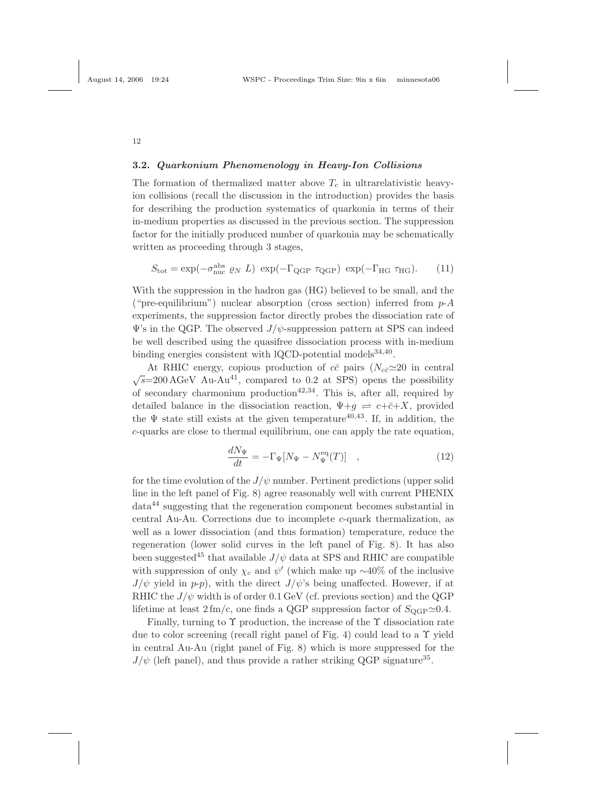## 3.2. Quarkonium Phenomenology in Heavy-Ion Collisions

The formation of thermalized matter above  $T_c$  in ultrarelativistic heavyion collisions (recall the discussion in the introduction) provides the basis for describing the production systematics of quarkonia in terms of their in-medium properties as discussed in the previous section. The suppression factor for the initially produced number of quarkonia may be schematically written as proceeding through 3 stages,

$$
S_{\text{tot}} = \exp(-\sigma_{\text{nuc}}^{\text{abs}} \varrho_N L) \exp(-\Gamma_{\text{QGP}} \tau_{\text{QGP}}) \exp(-\Gamma_{\text{HG}} \tau_{\text{HG}}). \tag{11}
$$

With the suppression in the hadron gas (HG) believed to be small, and the ("pre-equilibrium") nuclear absorption (cross section) inferred from  $p-A$ experiments, the suppression factor directly probes the dissociation rate of  $\Psi$ 's in the QGP. The observed  $J/\psi$ -suppression pattern at SPS can indeed be well described using the quasifree dissociation process with in-medium binding energies consistent with lQCD-potential models<sup>34,40</sup>.

At RHIC energy, copious production of  $c\bar{c}$  pairs  $(N_{c\bar{c}} \approx 20$  in central  $\sqrt{s}$ =200 AGeV Au-Au<sup>41</sup>, compared to 0.2 at SPS) opens the possibility of secondary charmonium production<sup>42,34</sup>. This is, after all, required by detailed balance in the dissociation reaction,  $\Psi + g \Rightarrow c + \bar{c} + X$ , provided the  $\Psi$  state still exists at the given temperature<sup>40,43</sup>. If, in addition, the c-quarks are close to thermal equilibrium, one can apply the rate equation,

$$
\frac{dN_{\Psi}}{dt} = -\Gamma_{\Psi}[N_{\Psi} - N_{\Psi}^{\text{eq}}(T)] \quad , \tag{12}
$$

for the time evolution of the  $J/\psi$  number. Pertinent predictions (upper solid line in the left panel of Fig. 8) agree reasonably well with current PHENIX data<sup>44</sup> suggesting that the regeneration component becomes substantial in central Au-Au. Corrections due to incomplete c-quark thermalization, as well as a lower dissociation (and thus formation) temperature, reduce the regeneration (lower solid curves in the left panel of Fig. 8). It has also been suggested<sup>45</sup> that available  $J/\psi$  data at SPS and RHIC are compatible with suppression of only  $\chi_c$  and  $\psi'$  (which make up ~40% of the inclusive  $J/\psi$  yield in p-p), with the direct  $J/\psi$ 's being unaffected. However, if at RHIC the  $J/\psi$  width is of order 0.1 GeV (cf. previous section) and the QGP lifetime at least  $2 \text{ fm/c}$ , one finds a QGP suppression factor of  $S_{\text{QGP}} \simeq 0.4$ .

Finally, turning to  $\Upsilon$  production, the increase of the  $\Upsilon$  dissociation rate due to color screening (recall right panel of Fig. 4) could lead to a Υ yield in central Au-Au (right panel of Fig. 8) which is more suppressed for the  $J/\psi$  (left panel), and thus provide a rather striking QGP signature<sup>35</sup>.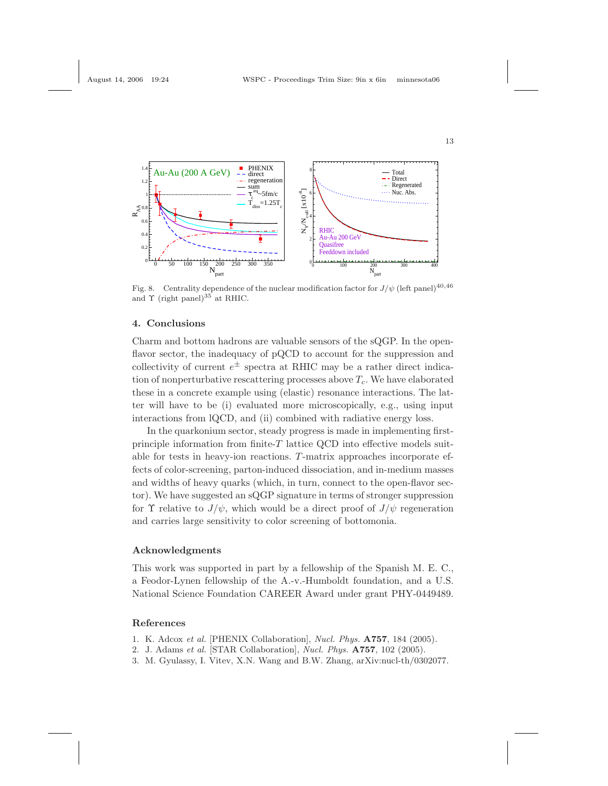

Fig. 8. Centrality dependence of the nuclear modification factor for  $J/\psi$  (left panel)<sup>40,46</sup> and  $\Upsilon$  (right panel)<sup>35</sup> at RHIC.

## 4. Conclusions

Charm and bottom hadrons are valuable sensors of the sQGP. In the openflavor sector, the inadequacy of pQCD to account for the suppression and collectivity of current  $e^{\pm}$  spectra at RHIC may be a rather direct indication of nonperturbative rescattering processes above  $T_c$ . We have elaborated these in a concrete example using (elastic) resonance interactions. The latter will have to be (i) evaluated more microscopically, e.g., using input interactions from lQCD, and (ii) combined with radiative energy loss.

In the quarkonium sector, steady progress is made in implementing firstprinciple information from finite- $T$  lattice QCD into effective models suitable for tests in heavy-ion reactions. T-matrix approaches incorporate effects of color-screening, parton-induced dissociation, and in-medium masses and widths of heavy quarks (which, in turn, connect to the open-flavor sector). We have suggested an sQGP signature in terms of stronger suppression for  $\Upsilon$  relative to  $J/\psi$ , which would be a direct proof of  $J/\psi$  regeneration and carries large sensitivity to color screening of bottomonia.

### Acknowledgments

This work was supported in part by a fellowship of the Spanish M. E. C., a Feodor-Lynen fellowship of the A.-v.-Humboldt foundation, and a U.S. National Science Foundation CAREER Award under grant PHY-0449489.

## References

- 1. K. Adcox et al. [PHENIX Collaboration], Nucl. Phys. A757, 184 (2005).
- 2. J. Adams et al. [STAR Collaboration], Nucl. Phys. A757, 102 (2005).
- 3. M. Gyulassy, I. Vitev, X.N. Wang and B.W. Zhang, arXiv:nucl-th/0302077.